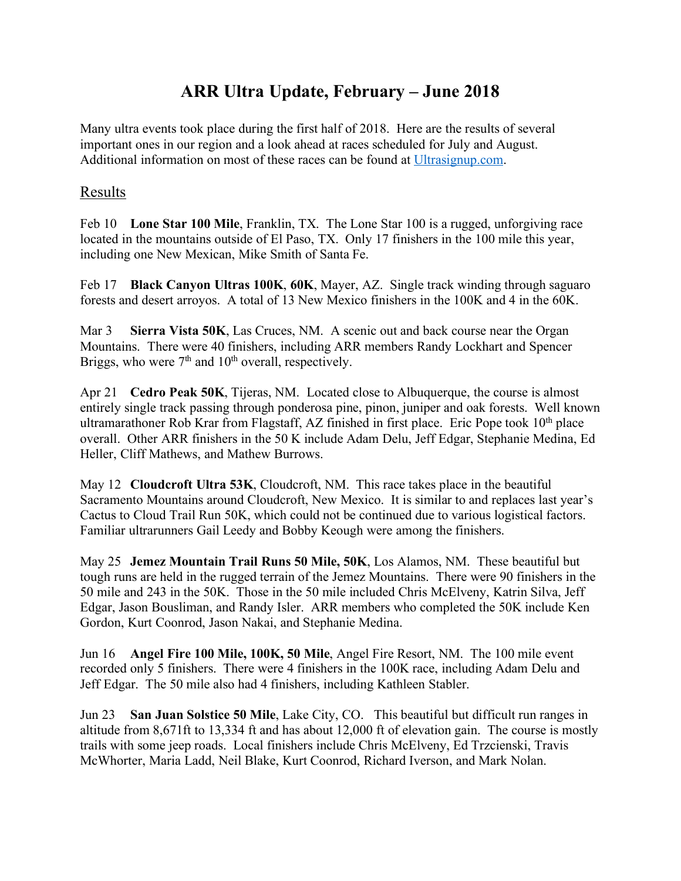## **ARR Ultra Update, February – June 2018**

Many ultra events took place during the first half of 2018. Here are the results of several important ones in our region and a look ahead at races scheduled for July and August. Additional information on most of these races can be found at Ultrasignup.com.

## Results

Feb 10 **Lone Star 100 Mile**, Franklin, TX. The Lone Star 100 is a rugged, unforgiving race located in the mountains outside of El Paso, TX. Only 17 finishers in the 100 mile this year, including one New Mexican, Mike Smith of Santa Fe.

Feb 17 **Black Canyon Ultras 100K**, **60K**, Mayer, AZ. Single track winding through saguaro forests and desert arroyos. A total of 13 New Mexico finishers in the 100K and 4 in the 60K.

Mar 3 **Sierra Vista 50K**, Las Cruces, NM. A scenic out and back course near the Organ Mountains. There were 40 finishers, including ARR members Randy Lockhart and Spencer Briggs, who were  $7<sup>th</sup>$  and  $10<sup>th</sup>$  overall, respectively.

Apr 21 **Cedro Peak 50K**, Tijeras, NM. Located close to Albuquerque, the course is almost entirely single track passing through ponderosa pine, pinon, juniper and oak forests. Well known ultramarathoner Rob Krar from Flagstaff, AZ finished in first place. Eric Pope took 10<sup>th</sup> place overall. Other ARR finishers in the 50 K include Adam Delu, Jeff Edgar, Stephanie Medina, Ed Heller, Cliff Mathews, and Mathew Burrows.

May 12 **Cloudcroft Ultra 53K**, Cloudcroft, NM. This race takes place in the beautiful Sacramento Mountains around Cloudcroft, New Mexico. It is similar to and replaces last year's Cactus to Cloud Trail Run 50K, which could not be continued due to various logistical factors. Familiar ultrarunners Gail Leedy and Bobby Keough were among the finishers.

May 25 **Jemez Mountain Trail Runs 50 Mile, 50K**, Los Alamos, NM. These beautiful but tough runs are held in the rugged terrain of the Jemez Mountains. There were 90 finishers in the 50 mile and 243 in the 50K. Those in the 50 mile included Chris McElveny, Katrin Silva, Jeff Edgar, Jason Bousliman, and Randy Isler. ARR members who completed the 50K include Ken Gordon, Kurt Coonrod, Jason Nakai, and Stephanie Medina.

Jun 16 **Angel Fire 100 Mile, 100K, 50 Mile**, Angel Fire Resort, NM. The 100 mile event recorded only 5 finishers. There were 4 finishers in the 100K race, including Adam Delu and Jeff Edgar. The 50 mile also had 4 finishers, including Kathleen Stabler.

Jun 23 **San Juan Solstice 50 Mile**, Lake City, CO. This beautiful but difficult run ranges in altitude from 8,671ft to 13,334 ft and has about 12,000 ft of elevation gain. The course is mostly trails with some jeep roads. Local finishers include Chris McElveny, Ed Trzcienski, Travis McWhorter, Maria Ladd, Neil Blake, Kurt Coonrod, Richard Iverson, and Mark Nolan.